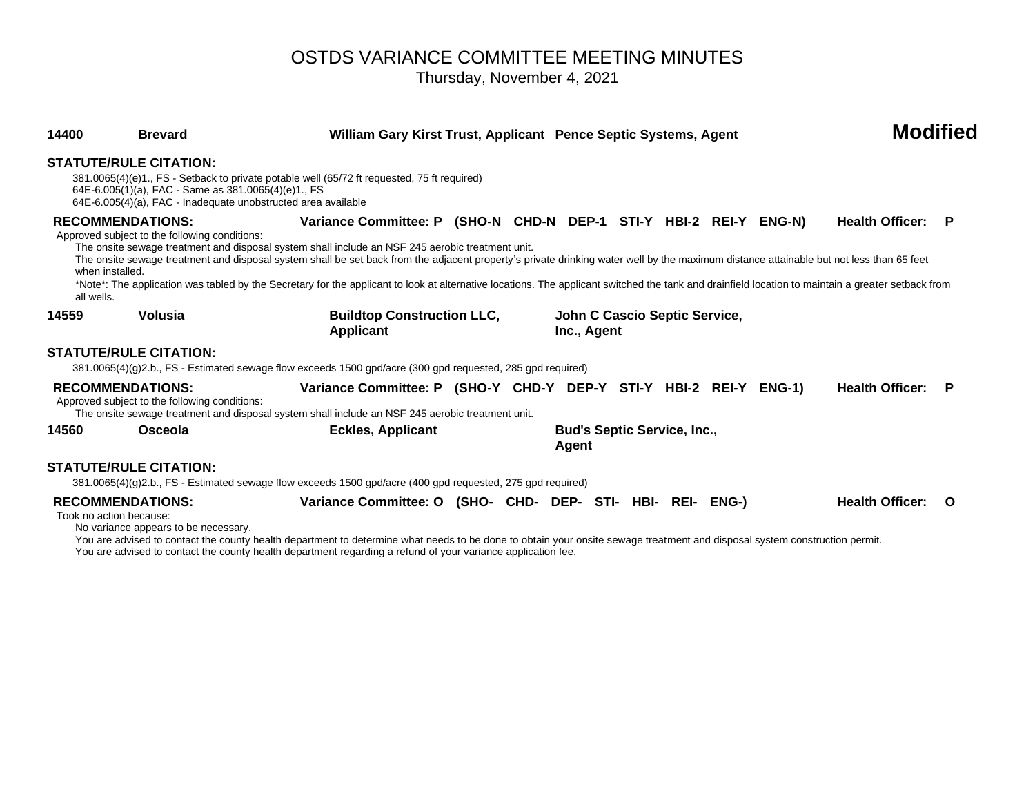# OSTDS VARIANCE COMMITTEE MEETING MINUTES Thursday, November 4, 2021

| 14400      | <b>Brevard</b>                                                                                                                                        | William Gary Kirst Trust, Applicant Pence Septic Systems, Agent                                                                                                                                                                                                                                                                                                                                                                                                                                                                                                        |  |                                              |  | <b>Modified</b> |  |                        |     |
|------------|-------------------------------------------------------------------------------------------------------------------------------------------------------|------------------------------------------------------------------------------------------------------------------------------------------------------------------------------------------------------------------------------------------------------------------------------------------------------------------------------------------------------------------------------------------------------------------------------------------------------------------------------------------------------------------------------------------------------------------------|--|----------------------------------------------|--|-----------------|--|------------------------|-----|
|            | <b>STATUTE/RULE CITATION:</b><br>64E-6.005(1)(a), FAC - Same as 381.0065(4)(e)1., FS<br>64E-6.005(4)(a), FAC - Inadequate unobstructed area available | 381.0065(4)(e)1., FS - Setback to private potable well (65/72 ft requested, 75 ft required)                                                                                                                                                                                                                                                                                                                                                                                                                                                                            |  |                                              |  |                 |  |                        |     |
| all wells. | <b>RECOMMENDATIONS:</b><br>Approved subject to the following conditions:<br>when installed.                                                           | Variance Committee: P (SHO-N CHD-N DEP-1 STI-Y HBI-2 REI-Y ENG-N)<br>The onsite sewage treatment and disposal system shall include an NSF 245 aerobic treatment unit.<br>The onsite sewage treatment and disposal system shall be set back from the adjacent property's private drinking water well by the maximum distance attainable but not less than 65 feet<br>*Note*: The application was tabled by the Secretary for the applicant to look at alternative locations. The applicant switched the tank and drainfield location to maintain a greater setback from |  |                                              |  |                 |  | <b>Health Officer:</b> | - P |
| 14559      | Volusia                                                                                                                                               | <b>Buildtop Construction LLC,</b><br>Applicant                                                                                                                                                                                                                                                                                                                                                                                                                                                                                                                         |  | John C Cascio Septic Service,<br>Inc., Agent |  |                 |  |                        |     |
|            | <b>STATUTE/RULE CITATION:</b>                                                                                                                         | 381.0065(4)(g)2.b., FS - Estimated sewage flow exceeds 1500 gpd/acre (300 gpd requested, 285 gpd required)                                                                                                                                                                                                                                                                                                                                                                                                                                                             |  |                                              |  |                 |  |                        |     |
|            | <b>RECOMMENDATIONS:</b><br>Approved subject to the following conditions:                                                                              | Variance Committee: P (SHO-Y CHD-Y DEP-Y STI-Y HBI-2 REI-Y ENG-1)<br>The onsite sewage treatment and disposal system shall include an NSF 245 aerobic treatment unit.                                                                                                                                                                                                                                                                                                                                                                                                  |  |                                              |  |                 |  | <b>Health Officer:</b> | P   |
| 14560      | Osceola                                                                                                                                               | <b>Eckles, Applicant</b>                                                                                                                                                                                                                                                                                                                                                                                                                                                                                                                                               |  | <b>Bud's Septic Service, Inc.,</b><br>Agent  |  |                 |  |                        |     |
|            | <b>STATUTE/RULE CITATION:</b>                                                                                                                         |                                                                                                                                                                                                                                                                                                                                                                                                                                                                                                                                                                        |  |                                              |  |                 |  |                        |     |
|            |                                                                                                                                                       | 381.0065(4)(g)2.b., FS - Estimated sewage flow exceeds 1500 gpd/acre (400 gpd requested, 275 gpd required)                                                                                                                                                                                                                                                                                                                                                                                                                                                             |  |                                              |  |                 |  |                        |     |
|            | <b>RECOMMENDATIONS:</b><br>Took no action because:<br>No variance appears to be necessary.                                                            | Variance Committee: O (SHO- CHD- DEP- STI- HBI- REI-                                                                                                                                                                                                                                                                                                                                                                                                                                                                                                                   |  |                                              |  | ENG-)           |  | <b>Health Officer:</b> | O   |

You are advised to contact the county health department to determine what needs to be done to obtain your onsite sewage treatment and disposal system construction permit. You are advised to contact the county health department regarding a refund of your variance application fee.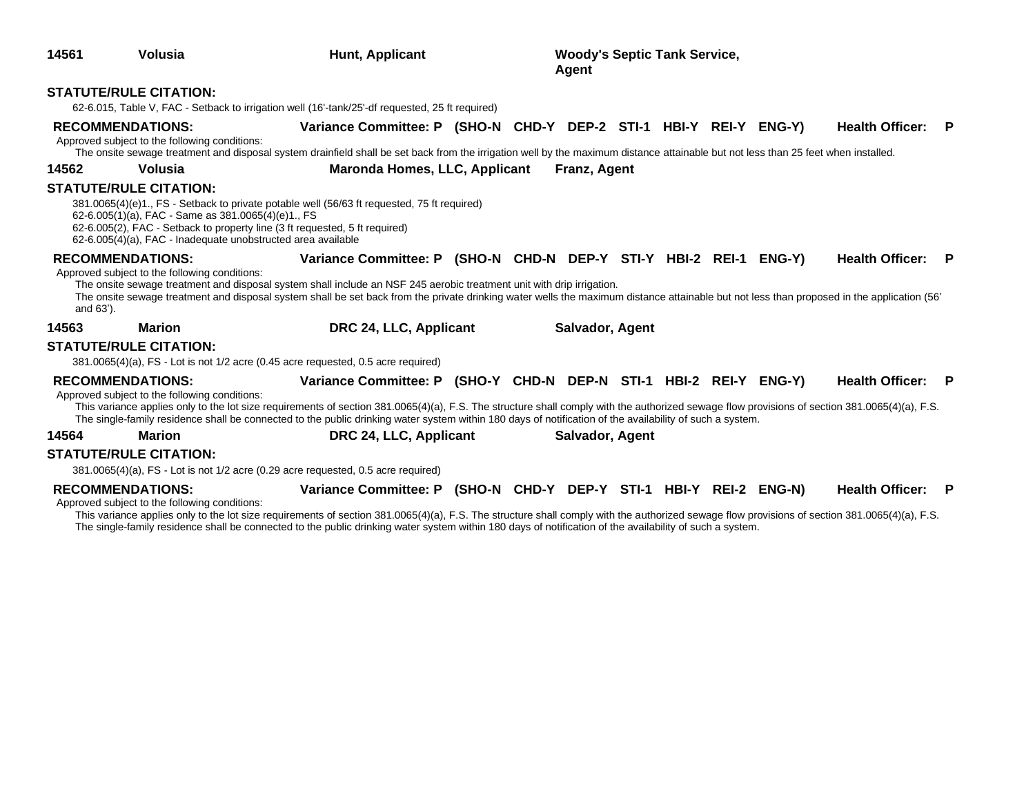| 14561     | <b>Volusia</b>                                                                                                                                      | Hunt, Applicant                                                                                                                                                                                                                                                                                                                                                                                                                |  | <b>Woody's Septic Tank Service,</b><br>Agent |  |  |                        |     |
|-----------|-----------------------------------------------------------------------------------------------------------------------------------------------------|--------------------------------------------------------------------------------------------------------------------------------------------------------------------------------------------------------------------------------------------------------------------------------------------------------------------------------------------------------------------------------------------------------------------------------|--|----------------------------------------------|--|--|------------------------|-----|
|           | <b>STATUTE/RULE CITATION:</b>                                                                                                                       | 62-6.015, Table V, FAC - Setback to irrigation well (16'-tank/25'-df requested, 25 ft required)                                                                                                                                                                                                                                                                                                                                |  |                                              |  |  |                        |     |
|           | <b>RECOMMENDATIONS:</b><br>Approved subject to the following conditions:                                                                            | Variance Committee: P (SHO-N CHD-Y DEP-2 STI-1 HBI-Y REI-Y ENG-Y)<br>The onsite sewage treatment and disposal system drainfield shall be set back from the irrigation well by the maximum distance attainable but not less than 25 feet when installed.                                                                                                                                                                        |  |                                              |  |  | <b>Health Officer:</b> | P   |
| 14562     | Volusia                                                                                                                                             | <b>Maronda Homes, LLC, Applicant</b>                                                                                                                                                                                                                                                                                                                                                                                           |  | Franz, Agent                                 |  |  |                        |     |
|           | <b>STATUTE/RULE CITATION:</b><br>62-6.005(1)(a), FAC - Same as 381.0065(4)(e)1., FS<br>62-6.005(4)(a), FAC - Inadequate unobstructed area available | 381.0065(4)(e)1., FS - Setback to private potable well (56/63 ft requested, 75 ft required)<br>62-6.005(2), FAC - Setback to property line (3 ft requested, 5 ft required)                                                                                                                                                                                                                                                     |  |                                              |  |  |                        |     |
| and 63'). | <b>RECOMMENDATIONS:</b><br>Approved subject to the following conditions:                                                                            | Variance Committee: P (SHO-N CHD-N DEP-Y STI-Y HBI-2 REI-1 ENG-Y)<br>The onsite sewage treatment and disposal system shall include an NSF 245 aerobic treatment unit with drip irrigation.<br>The onsite sewage treatment and disposal system shall be set back from the private drinking water wells the maximum distance attainable but not less than proposed in the application (56'                                       |  |                                              |  |  | <b>Health Officer:</b> | P   |
| 14563     | <b>Marion</b>                                                                                                                                       | DRC 24, LLC, Applicant                                                                                                                                                                                                                                                                                                                                                                                                         |  | Salvador, Agent                              |  |  |                        |     |
|           | <b>STATUTE/RULE CITATION:</b>                                                                                                                       | 381.0065(4)(a), FS - Lot is not 1/2 acre (0.45 acre requested, 0.5 acre required)                                                                                                                                                                                                                                                                                                                                              |  |                                              |  |  |                        |     |
|           | <b>RECOMMENDATIONS:</b><br>Approved subject to the following conditions:                                                                            | Variance Committee: P (SHO-Y CHD-N DEP-N STI-1 HBI-2 REI-Y ENG-Y)<br>This variance applies only to the lot size requirements of section 381.0065(4)(a), F.S. The structure shall comply with the authorized sewage flow provisions of section 381.0065(4)(a), F.S.<br>The single-family residence shall be connected to the public drinking water system within 180 days of notification of the availability of such a system. |  |                                              |  |  | <b>Health Officer:</b> | - P |
| 14564     | Marion                                                                                                                                              | DRC 24, LLC, Applicant                                                                                                                                                                                                                                                                                                                                                                                                         |  | Salvador, Agent                              |  |  |                        |     |
|           | <b>STATUTE/RULE CITATION:</b>                                                                                                                       | 381.0065(4)(a), FS - Lot is not 1/2 acre (0.29 acre requested, 0.5 acre required)                                                                                                                                                                                                                                                                                                                                              |  |                                              |  |  |                        |     |
|           | <b>RECOMMENDATIONS:</b>                                                                                                                             | Variance Committee: P (SHO-N CHD-Y DEP-Y STI-1 HBI-Y REI-2 ENG-N)                                                                                                                                                                                                                                                                                                                                                              |  |                                              |  |  | <b>Health Officer:</b> | P   |

Approved subject to the following conditions: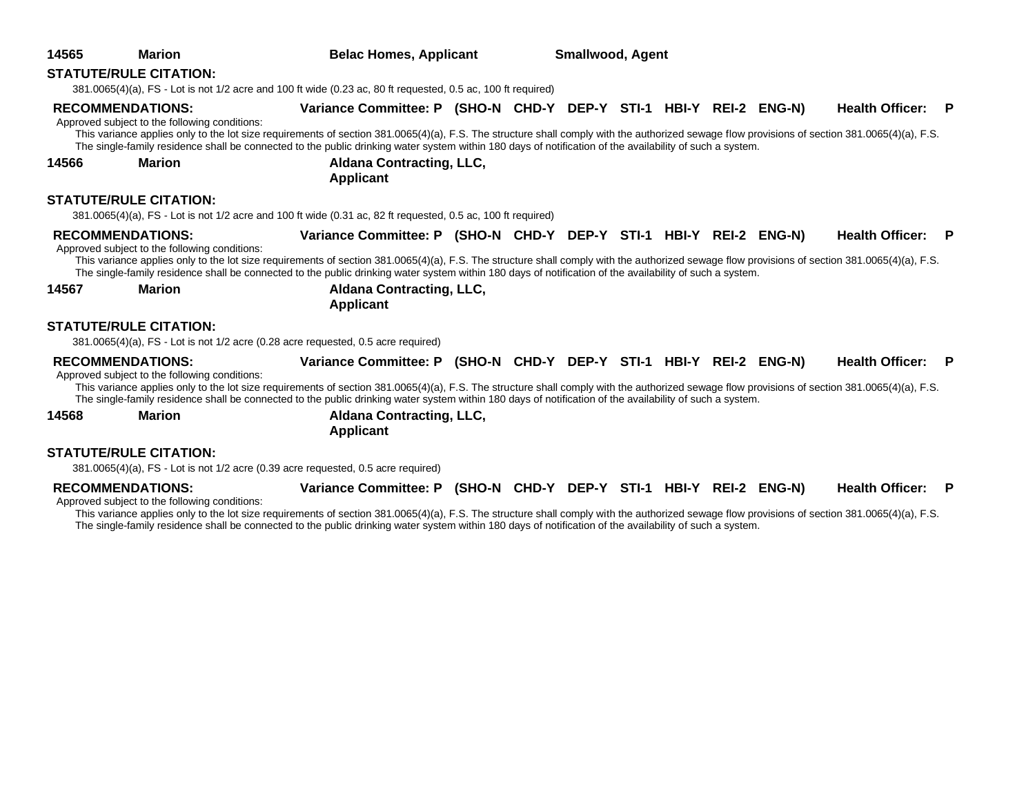| 14565 | <b>Marion</b>                                                            | <b>Belac Homes, Applicant</b>                                                                                                                                                                                                                                                                                                                                                                                                  | <b>Smallwood, Agent</b> |  |  |  |                        |          |
|-------|--------------------------------------------------------------------------|--------------------------------------------------------------------------------------------------------------------------------------------------------------------------------------------------------------------------------------------------------------------------------------------------------------------------------------------------------------------------------------------------------------------------------|-------------------------|--|--|--|------------------------|----------|
|       | <b>STATUTE/RULE CITATION:</b>                                            |                                                                                                                                                                                                                                                                                                                                                                                                                                |                         |  |  |  |                        |          |
|       |                                                                          | 381.0065(4)(a), FS - Lot is not 1/2 acre and 100 ft wide (0.23 ac, 80 ft requested, 0.5 ac, 100 ft required)                                                                                                                                                                                                                                                                                                                   |                         |  |  |  |                        |          |
|       | <b>RECOMMENDATIONS:</b><br>Approved subject to the following conditions: | Variance Committee: P (SHO-N CHD-Y DEP-Y STI-1 HBI-Y REI-2 ENG-N)<br>This variance applies only to the lot size requirements of section 381.0065(4)(a), F.S. The structure shall comply with the authorized sewage flow provisions of section 381.0065(4)(a), F.S.                                                                                                                                                             |                         |  |  |  | <b>Health Officer:</b> | <b>P</b> |
| 14566 | <b>Marion</b>                                                            | The single-family residence shall be connected to the public drinking water system within 180 days of notification of the availability of such a system.<br><b>Aldana Contracting, LLC,</b><br><b>Applicant</b>                                                                                                                                                                                                                |                         |  |  |  |                        |          |
|       | <b>STATUTE/RULE CITATION:</b>                                            | 381.0065(4)(a), FS - Lot is not 1/2 acre and 100 ft wide (0.31 ac, 82 ft requested, 0.5 ac, 100 ft required)                                                                                                                                                                                                                                                                                                                   |                         |  |  |  |                        |          |
|       | <b>RECOMMENDATIONS:</b><br>Approved subject to the following conditions: | Variance Committee: P (SHO-N CHD-Y DEP-Y STI-1 HBI-Y REI-2 ENG-N)<br>This variance applies only to the lot size requirements of section 381.0065(4)(a), F.S. The structure shall comply with the authorized sewage flow provisions of section 381.0065(4)(a), F.S.<br>The single-family residence shall be connected to the public drinking water system within 180 days of notification of the availability of such a system. |                         |  |  |  | Health Officer: P      |          |
| 14567 | <b>Marion</b>                                                            | <b>Aldana Contracting, LLC,</b><br><b>Applicant</b>                                                                                                                                                                                                                                                                                                                                                                            |                         |  |  |  |                        |          |
|       | <b>STATUTE/RULE CITATION:</b>                                            | 381.0065(4)(a), FS - Lot is not 1/2 acre (0.28 acre requested, 0.5 acre required)                                                                                                                                                                                                                                                                                                                                              |                         |  |  |  |                        |          |
|       | <b>RECOMMENDATIONS:</b><br>Approved subject to the following conditions: | Variance Committee: P (SHO-N CHD-Y DEP-Y STI-1 HBI-Y REI-2 ENG-N)<br>This variance applies only to the lot size requirements of section 381.0065(4)(a), F.S. The structure shall comply with the authorized sewage flow provisions of section 381.0065(4)(a), F.S.<br>The single-family residence shall be connected to the public drinking water system within 180 days of notification of the availability of such a system. |                         |  |  |  | Health Officer: P      |          |
| 14568 | <b>Marion</b>                                                            | <b>Aldana Contracting, LLC,</b><br><b>Applicant</b>                                                                                                                                                                                                                                                                                                                                                                            |                         |  |  |  |                        |          |
|       | <b>STATUTE/RULE CITATION:</b>                                            |                                                                                                                                                                                                                                                                                                                                                                                                                                |                         |  |  |  |                        |          |
|       |                                                                          | 381.0065(4)(a), FS - Lot is not 1/2 acre (0.39 acre requested, 0.5 acre required)                                                                                                                                                                                                                                                                                                                                              |                         |  |  |  |                        |          |

**RECOMMENDATIONS: Variance Committee: P (SHO-N CHD-Y DEP-Y STI-1 HBI-Y REI-2 ENG-N) Health Officer: P** Approved subject to the following conditions: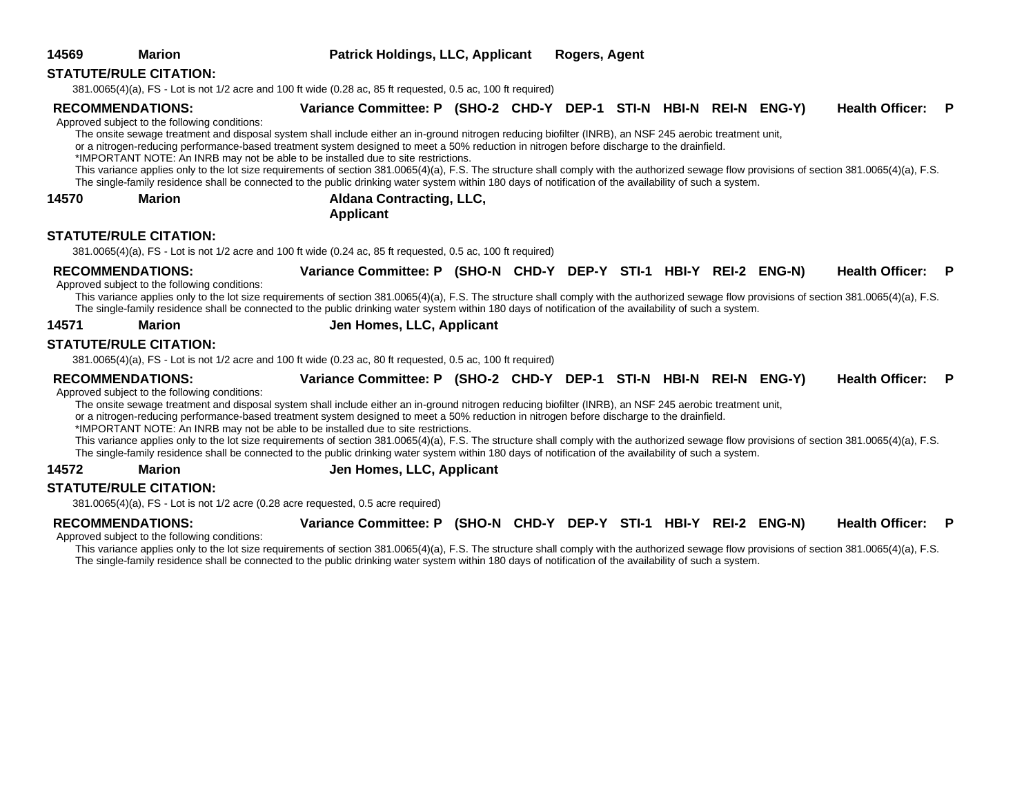| <b>STATUTE/RULE CITATION:</b>                                                                                   |  |  |
|-----------------------------------------------------------------------------------------------------------------|--|--|
| $381.0065(4)(a)$ , FS - Lot is not 1/2 acre and 100 ft wide (0.28 ac, 85 ft requested, 0.5 ac, 100 ft required) |  |  |

### **RECOMMENDATIONS: Variance Committee: P (SHO-2 CHD-Y DEP-1 STI-N HBI-N REI-N ENG-Y) Health Officer: P**

Approved subject to the following conditions:

The onsite sewage treatment and disposal system shall include either an in-ground nitrogen reducing biofilter (INRB), an NSF 245 aerobic treatment unit,

or a nitrogen-reducing performance-based treatment system designed to meet a 50% reduction in nitrogen before discharge to the drainfield.

\*IMPORTANT NOTE: An INRB may not be able to be installed due to site restrictions.

This variance applies only to the lot size requirements of section 381.0065(4)(a), F.S. The structure shall comply with the authorized sewage flow provisions of section 381.0065(4)(a), F.S. The single-family residence shall be connected to the public drinking water system within 180 days of notification of the availability of such a system.

**14570 Marion Aldana Contracting, LLC,** 

**Applicant**

### **STATUTE/RULE CITATION:**

381.0065(4)(a), FS - Lot is not 1/2 acre and 100 ft wide (0.24 ac, 85 ft requested, 0.5 ac, 100 ft required)

**RECOMMENDATIONS: Variance Committee: P (SHO-N CHD-Y DEP-Y STI-1 HBI-Y REI-2 ENG-N) Health Officer: P**

Approved subject to the following conditions:

This variance applies only to the lot size requirements of section 381.0065(4)(a), F.S. The structure shall comply with the authorized sewage flow provisions of section 381.0065(4)(a), F.S. The single-family residence shall be connected to the public drinking water system within 180 days of notification of the availability of such a system.

### **14571 Marion Jen Homes, LLC, Applicant**

### **STATUTE/RULE CITATION:**

381.0065(4)(a), FS - Lot is not 1/2 acre and 100 ft wide (0.23 ac, 80 ft requested, 0.5 ac, 100 ft required)

**RECOMMENDATIONS: Variance Committee: P (SHO-2 CHD-Y DEP-1 STI-N HBI-N REI-N ENG-Y) Health Officer: P**

Approved subject to the following conditions:

The onsite sewage treatment and disposal system shall include either an in-ground nitrogen reducing biofilter (INRB), an NSF 245 aerobic treatment unit,

or a nitrogen-reducing performance-based treatment system designed to meet a 50% reduction in nitrogen before discharge to the drainfield.

\*IMPORTANT NOTE: An INRB may not be able to be installed due to site restrictions.

This variance applies only to the lot size requirements of section 381.0065(4)(a), F.S. The structure shall comply with the authorized sewage flow provisions of section 381.0065(4)(a), F.S. The single-family residence shall be connected to the public drinking water system within 180 days of notification of the availability of such a system.

### **14572 Marion Jen Homes, LLC, Applicant**

### **STATUTE/RULE CITATION:**

381.0065(4)(a), FS - Lot is not 1/2 acre (0.28 acre requested, 0.5 acre required)

**RECOMMENDATIONS: Variance Committee: P (SHO-N CHD-Y DEP-Y STI-1 HBI-Y REI-2 ENG-N) Health Officer: P**

Approved subject to the following conditions:

This variance applies only to the lot size requirements of section 381.0065(4)(a), F.S. The structure shall comply with the authorized sewage flow provisions of section 381.0065(4)(a), F.S. The single-family residence shall be connected to the public drinking water system within 180 days of notification of the availability of such a system.

**14569 Marion Patrick Holdings, LLC, Applicant Rogers, Agent**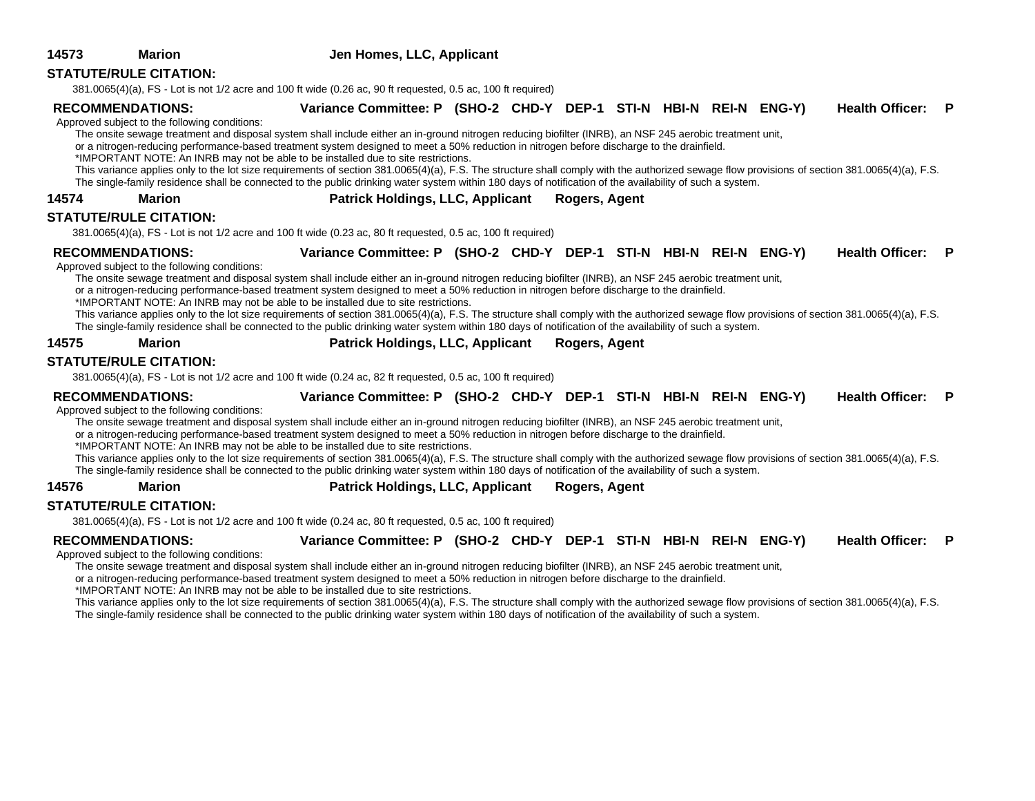| 14573 | <b>Marion</b>                                 | Jen Homes, LLC, Applicant                                                                                                                                                                     |  |  |  |                   |  |
|-------|-----------------------------------------------|-----------------------------------------------------------------------------------------------------------------------------------------------------------------------------------------------|--|--|--|-------------------|--|
|       | <b>STATUTE/RULE CITATION:</b>                 |                                                                                                                                                                                               |  |  |  |                   |  |
|       |                                               | 381.0065(4)(a), FS - Lot is not 1/2 acre and 100 ft wide (0.26 ac, 90 ft requested, 0.5 ac, 100 ft required)                                                                                  |  |  |  |                   |  |
|       | <b>RECOMMENDATIONS:</b>                       | Variance Committee: P (SHO-2 CHD-Y DEP-1 STI-N HBI-N REI-N ENG-Y)                                                                                                                             |  |  |  | Health Officer: P |  |
|       | Approved subject to the following conditions: |                                                                                                                                                                                               |  |  |  |                   |  |
|       |                                               | The onsite sewage treatment and disposal system shall include either an in-ground nitrogen reducing biofilter (INRB), an NSF 245 aerobic treatment unit,                                      |  |  |  |                   |  |
|       |                                               | or a nitrogen-reducing performance-based treatment system designed to meet a 50% reduction in nitrogen before discharge to the drainfield.                                                    |  |  |  |                   |  |
|       |                                               | *IMPORTANT NOTE: An INRB may not be able to be installed due to site restrictions.                                                                                                            |  |  |  |                   |  |
|       |                                               | This variance applies only to the lot size requirements of section 381.0065(4)(a), F.S. The structure shall comply with the authorized sewage flow provisions of section 381.0065(4)(a), F.S. |  |  |  |                   |  |
|       |                                               | The single-family residence shall be connected to the public drinking water system within 180 days of notification of the availability of such a system.                                      |  |  |  |                   |  |

**14574 Marion Patrick Holdings, LLC, Applicant Rogers, Agent**

### **STATUTE/RULE CITATION:**

381.0065(4)(a), FS - Lot is not 1/2 acre and 100 ft wide (0.23 ac, 80 ft requested, 0.5 ac, 100 ft required)

**RECOMMENDATIONS: Variance Committee: P (SHO-2 CHD-Y DEP-1 STI-N HBI-N REI-N ENG-Y) Health Officer: P**

Approved subject to the following conditions:

The onsite sewage treatment and disposal system shall include either an in-ground nitrogen reducing biofilter (INRB), an NSF 245 aerobic treatment unit,

or a nitrogen-reducing performance-based treatment system designed to meet a 50% reduction in nitrogen before discharge to the drainfield.

\*IMPORTANT NOTE: An INRB may not be able to be installed due to site restrictions.

This variance applies only to the lot size requirements of section 381.0065(4)(a), F.S. The structure shall comply with the authorized sewage flow provisions of section 381.0065(4)(a), F.S. The single-family residence shall be connected to the public drinking water system within 180 days of notification of the availability of such a system.

### **14575 Marion Patrick Holdings, LLC, Applicant Rogers, Agent**

### **STATUTE/RULE CITATION:**

381.0065(4)(a), FS - Lot is not 1/2 acre and 100 ft wide (0.24 ac, 82 ft requested, 0.5 ac, 100 ft required)

**RECOMMENDATIONS: Variance Committee: P (SHO-2 CHD-Y DEP-1 STI-N HBI-N REI-N ENG-Y) Health Officer: P**

Approved subject to the following conditions:

The onsite sewage treatment and disposal system shall include either an in-ground nitrogen reducing biofilter (INRB), an NSF 245 aerobic treatment unit,

or a nitrogen-reducing performance-based treatment system designed to meet a 50% reduction in nitrogen before discharge to the drainfield.

\*IMPORTANT NOTE: An INRB may not be able to be installed due to site restrictions.

This variance applies only to the lot size requirements of section 381.0065(4)(a), F.S. The structure shall comply with the authorized sewage flow provisions of section 381.0065(4)(a), F.S. The single-family residence shall be connected to the public drinking water system within 180 days of notification of the availability of such a system.

**14576 Marion Patrick Holdings, LLC, Applicant Rogers, Agent**

## **STATUTE/RULE CITATION:**

381.0065(4)(a), FS - Lot is not 1/2 acre and 100 ft wide (0.24 ac, 80 ft requested, 0.5 ac, 100 ft required)

| <b>RECOMMENDATIONS:</b> | Variance Committee: P (SHO-2 CHD-Y DEP-1 STI-N HBI-N REI-N ENG-Y) |  |  |  | Health Officer: P |  |
|-------------------------|-------------------------------------------------------------------|--|--|--|-------------------|--|
|                         |                                                                   |  |  |  |                   |  |

Approved subject to the following conditions:

The onsite sewage treatment and disposal system shall include either an in-ground nitrogen reducing biofilter (INRB), an NSF 245 aerobic treatment unit,

or a nitrogen-reducing performance-based treatment system designed to meet a 50% reduction in nitrogen before discharge to the drainfield.

\*IMPORTANT NOTE: An INRB may not be able to be installed due to site restrictions.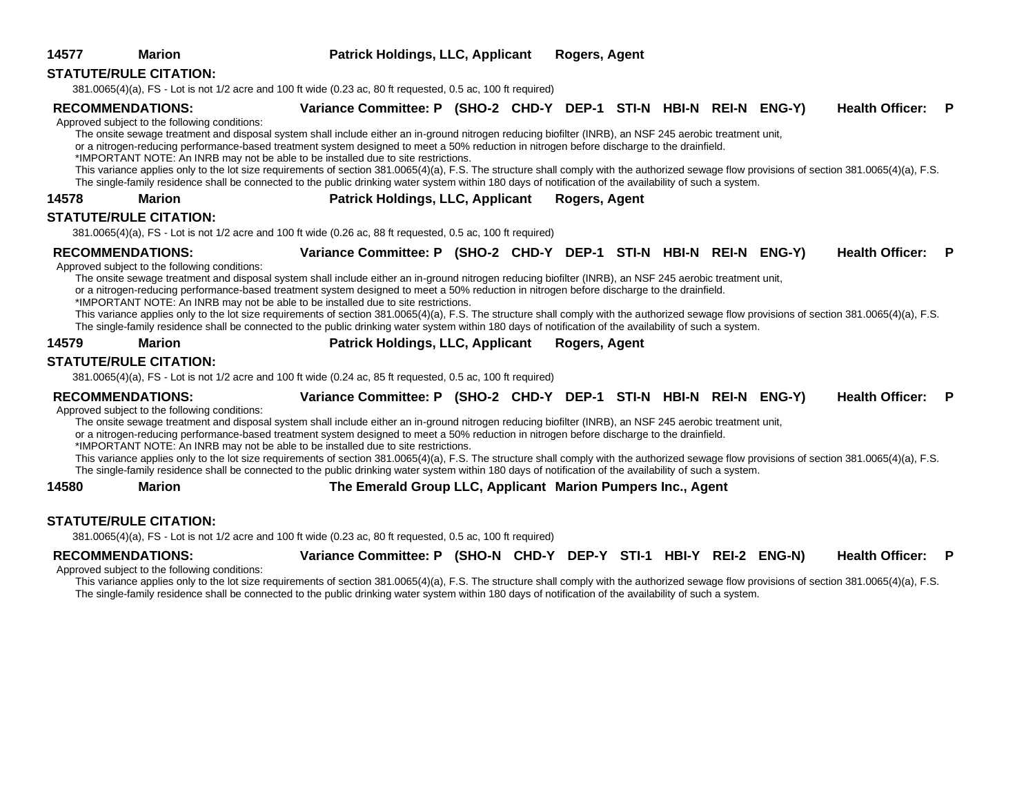|       | <b>STATUTE/RULE CITATION:</b>                                            | 381.0065(4)(a), FS - Lot is not 1/2 acre and 100 ft wide (0.23 ac, 80 ft requested, 0.5 ac, 100 ft required)                                                                                                                                                                                                                                                                                                                                                                                                                                                                                                                                                                                                                                                                                                                   |  |               |  |  |                        |     |
|-------|--------------------------------------------------------------------------|--------------------------------------------------------------------------------------------------------------------------------------------------------------------------------------------------------------------------------------------------------------------------------------------------------------------------------------------------------------------------------------------------------------------------------------------------------------------------------------------------------------------------------------------------------------------------------------------------------------------------------------------------------------------------------------------------------------------------------------------------------------------------------------------------------------------------------|--|---------------|--|--|------------------------|-----|
|       | <b>RECOMMENDATIONS:</b><br>Approved subject to the following conditions: | Variance Committee: P (SHO-2 CHD-Y DEP-1 STI-N HBI-N REI-N ENG-Y)<br>The onsite sewage treatment and disposal system shall include either an in-ground nitrogen reducing biofilter (INRB), an NSF 245 aerobic treatment unit,<br>or a nitrogen-reducing performance-based treatment system designed to meet a 50% reduction in nitrogen before discharge to the drainfield.<br>*IMPORTANT NOTE: An INRB may not be able to be installed due to site restrictions.<br>This variance applies only to the lot size requirements of section 381.0065(4)(a), F.S. The structure shall comply with the authorized sewage flow provisions of section 381.0065(4)(a), F.S.<br>The single-family residence shall be connected to the public drinking water system within 180 days of notification of the availability of such a system. |  |               |  |  | <b>Health Officer:</b> | - P |
| 14578 | <b>Marion</b>                                                            | <b>Patrick Holdings, LLC, Applicant</b>                                                                                                                                                                                                                                                                                                                                                                                                                                                                                                                                                                                                                                                                                                                                                                                        |  | Rogers, Agent |  |  |                        |     |
|       | <b>STATUTE/RULE CITATION:</b>                                            | 381.0065(4)(a), FS - Lot is not 1/2 acre and 100 ft wide (0.26 ac, 88 ft requested, 0.5 ac, 100 ft required)                                                                                                                                                                                                                                                                                                                                                                                                                                                                                                                                                                                                                                                                                                                   |  |               |  |  |                        |     |
|       | <b>RECOMMENDATIONS:</b><br>Approved subject to the following conditions: | Variance Committee: P (SHO-2 CHD-Y DEP-1 STI-N HBI-N REI-N ENG-Y)<br>The onsite sewage treatment and disposal system shall include either an in-ground nitrogen reducing biofilter (INRB), an NSF 245 aerobic treatment unit,<br>or a nitrogen-reducing performance-based treatment system designed to meet a 50% reduction in nitrogen before discharge to the drainfield.<br>*IMPORTANT NOTE: An INRB may not be able to be installed due to site restrictions.<br>This variance applies only to the lot size requirements of section 381.0065(4)(a), F.S. The structure shall comply with the authorized sewage flow provisions of section 381.0065(4)(a), F.S.<br>The single-family residence shall be connected to the public drinking water system within 180 days of notification of the availability of such a system. |  |               |  |  | Health Officer: P      |     |
| 14579 | <b>Marion</b>                                                            | <b>Patrick Holdings, LLC, Applicant</b>                                                                                                                                                                                                                                                                                                                                                                                                                                                                                                                                                                                                                                                                                                                                                                                        |  | Rogers, Agent |  |  |                        |     |
|       | <b>STATUTE/RULE CITATION:</b>                                            |                                                                                                                                                                                                                                                                                                                                                                                                                                                                                                                                                                                                                                                                                                                                                                                                                                |  |               |  |  |                        |     |
|       |                                                                          | 381.0065(4)(a), FS - Lot is not 1/2 acre and 100 ft wide (0.24 ac, 85 ft requested, 0.5 ac, 100 ft required)                                                                                                                                                                                                                                                                                                                                                                                                                                                                                                                                                                                                                                                                                                                   |  |               |  |  |                        |     |
|       | <b>RECOMMENDATIONS:</b><br>Approved subject to the following conditions: | Variance Committee: P (SHO-2 CHD-Y DEP-1 STI-N HBI-N REI-N ENG-Y)<br>The onsite sewage treatment and disposal system shall include either an in-ground nitrogen reducing biofilter (INRB), an NSF 245 aerobic treatment unit,<br>or a nitrogen-reducing performance-based treatment system designed to meet a 50% reduction in nitrogen before discharge to the drainfield.<br>*IMPORTANT NOTE: An INRB may not be able to be installed due to site restrictions.                                                                                                                                                                                                                                                                                                                                                              |  |               |  |  | Health Officer: P      |     |

This variance applies only to the lot size requirements of section 381.0065(4)(a), F.S. The structure shall comply with the authorized sewage flow provisions of section 381.0065(4)(a), F.S. The single-family residence shall be connected to the public drinking water system within 180 days of notification of the availability of such a system.

**14580 Marion The Emerald Group LLC, Applicant Marion Pumpers Inc., Agent**

### **STATUTE/RULE CITATION:**

381.0065(4)(a), FS - Lot is not 1/2 acre and 100 ft wide (0.23 ac, 80 ft requested, 0.5 ac, 100 ft required)

**RECOMMENDATIONS: Variance Committee: P (SHO-N CHD-Y DEP-Y STI-1 HBI-Y REI-2 ENG-N) Health Officer: P**

Approved subject to the following conditions: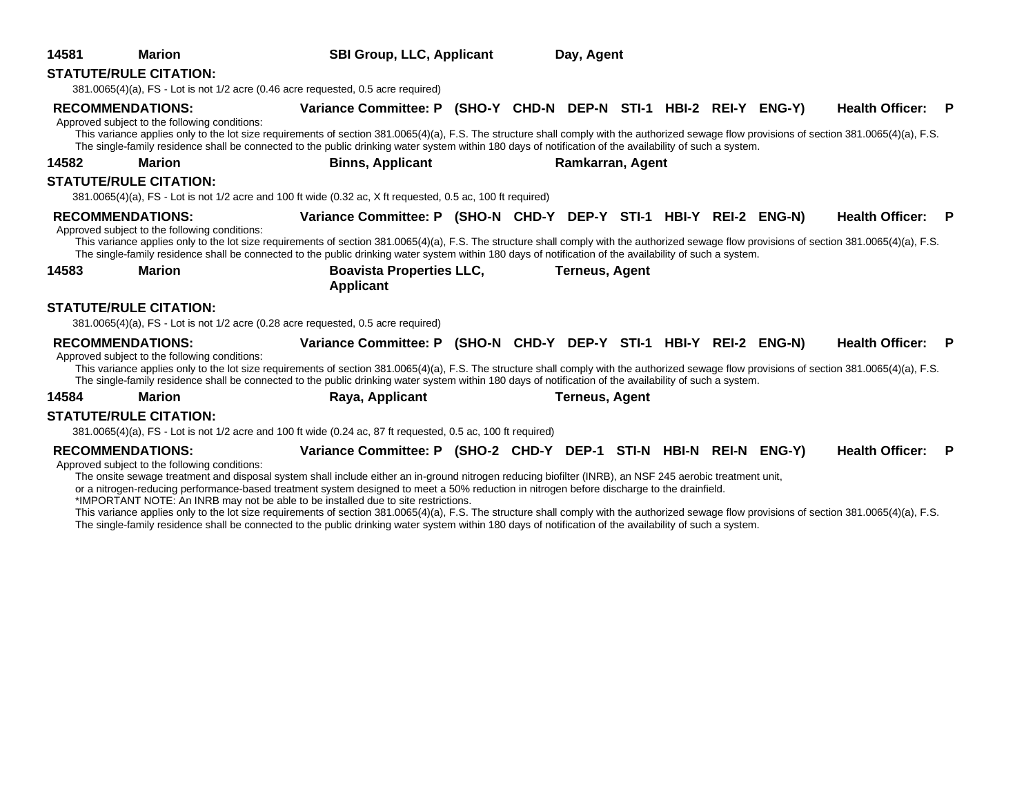| 14581 | <b>Marion</b>                                                            | <b>SBI Group, LLC, Applicant</b>                                                                                                                                                                                                                                                                                                                                                                                                                                                                                                                                                                                                                                                                                                                                                                                               | Day, Agent |                       |  |  |  |                          |   |
|-------|--------------------------------------------------------------------------|--------------------------------------------------------------------------------------------------------------------------------------------------------------------------------------------------------------------------------------------------------------------------------------------------------------------------------------------------------------------------------------------------------------------------------------------------------------------------------------------------------------------------------------------------------------------------------------------------------------------------------------------------------------------------------------------------------------------------------------------------------------------------------------------------------------------------------|------------|-----------------------|--|--|--|--------------------------|---|
|       | <b>STATUTE/RULE CITATION:</b>                                            | 381.0065(4)(a), FS - Lot is not 1/2 acre (0.46 acre requested, 0.5 acre required)                                                                                                                                                                                                                                                                                                                                                                                                                                                                                                                                                                                                                                                                                                                                              |            |                       |  |  |  |                          |   |
|       | <b>RECOMMENDATIONS:</b><br>Approved subject to the following conditions: | Variance Committee: P (SHO-Y CHD-N DEP-N STI-1 HBI-2 REI-Y ENG-Y)<br>This variance applies only to the lot size requirements of section 381.0065(4)(a), F.S. The structure shall comply with the authorized sewage flow provisions of section 381.0065(4)(a), F.S.<br>The single-family residence shall be connected to the public drinking water system within 180 days of notification of the availability of such a system.                                                                                                                                                                                                                                                                                                                                                                                                 |            |                       |  |  |  | <b>Health Officer: P</b> |   |
| 14582 | <b>Marion</b>                                                            | <b>Binns, Applicant</b>                                                                                                                                                                                                                                                                                                                                                                                                                                                                                                                                                                                                                                                                                                                                                                                                        |            | Ramkarran, Agent      |  |  |  |                          |   |
|       | <b>STATUTE/RULE CITATION:</b>                                            | 381.0065(4)(a), FS - Lot is not 1/2 acre and 100 ft wide (0.32 ac, X ft requested, 0.5 ac, 100 ft required)                                                                                                                                                                                                                                                                                                                                                                                                                                                                                                                                                                                                                                                                                                                    |            |                       |  |  |  |                          |   |
|       | <b>RECOMMENDATIONS:</b>                                                  | Variance Committee: P (SHO-N CHD-Y DEP-Y STI-1 HBI-Y REI-2 ENG-N)                                                                                                                                                                                                                                                                                                                                                                                                                                                                                                                                                                                                                                                                                                                                                              |            |                       |  |  |  | <b>Health Officer: P</b> |   |
| 14583 | Approved subject to the following conditions:<br><b>Marion</b>           | This variance applies only to the lot size requirements of section 381.0065(4)(a), F.S. The structure shall comply with the authorized sewage flow provisions of section 381.0065(4)(a), F.S.<br>The single-family residence shall be connected to the public drinking water system within 180 days of notification of the availability of such a system.<br><b>Boavista Properties LLC,</b>                                                                                                                                                                                                                                                                                                                                                                                                                                   |            | <b>Terneus, Agent</b> |  |  |  |                          |   |
|       |                                                                          | <b>Applicant</b>                                                                                                                                                                                                                                                                                                                                                                                                                                                                                                                                                                                                                                                                                                                                                                                                               |            |                       |  |  |  |                          |   |
|       | <b>STATUTE/RULE CITATION:</b>                                            | 381.0065(4)(a), FS - Lot is not 1/2 acre (0.28 acre requested, 0.5 acre required)                                                                                                                                                                                                                                                                                                                                                                                                                                                                                                                                                                                                                                                                                                                                              |            |                       |  |  |  |                          |   |
|       | <b>RECOMMENDATIONS:</b><br>Approved subject to the following conditions: | Variance Committee: P (SHO-N CHD-Y DEP-Y STI-1 HBI-Y REI-2 ENG-N)<br>This variance applies only to the lot size requirements of section 381.0065(4)(a), F.S. The structure shall comply with the authorized sewage flow provisions of section 381.0065(4)(a), F.S.<br>The single-family residence shall be connected to the public drinking water system within 180 days of notification of the availability of such a system.                                                                                                                                                                                                                                                                                                                                                                                                 |            |                       |  |  |  | <b>Health Officer: P</b> |   |
| 14584 | <b>Marion</b>                                                            | Raya, Applicant                                                                                                                                                                                                                                                                                                                                                                                                                                                                                                                                                                                                                                                                                                                                                                                                                |            | <b>Terneus, Agent</b> |  |  |  |                          |   |
|       | <b>STATUTE/RULE CITATION:</b>                                            | 381.0065(4)(a), FS - Lot is not 1/2 acre and 100 ft wide (0.24 ac, 87 ft requested, 0.5 ac, 100 ft required)                                                                                                                                                                                                                                                                                                                                                                                                                                                                                                                                                                                                                                                                                                                   |            |                       |  |  |  |                          |   |
|       | <b>RECOMMENDATIONS:</b><br>Approved subject to the following conditions: | Variance Committee: P (SHO-2 CHD-Y DEP-1 STI-N HBI-N REI-N ENG-Y)<br>The onsite sewage treatment and disposal system shall include either an in-ground nitrogen reducing biofilter (INRB), an NSF 245 aerobic treatment unit,<br>or a nitrogen-reducing performance-based treatment system designed to meet a 50% reduction in nitrogen before discharge to the drainfield.<br>*IMPORTANT NOTE: An INRB may not be able to be installed due to site restrictions.<br>This variance applies only to the lot size requirements of section 381.0065(4)(a), F.S. The structure shall comply with the authorized sewage flow provisions of section 381.0065(4)(a), F.S.<br>The single-family residence shall be connected to the public drinking water system within 180 days of notification of the availability of such a system. |            |                       |  |  |  | <b>Health Officer:</b>   | P |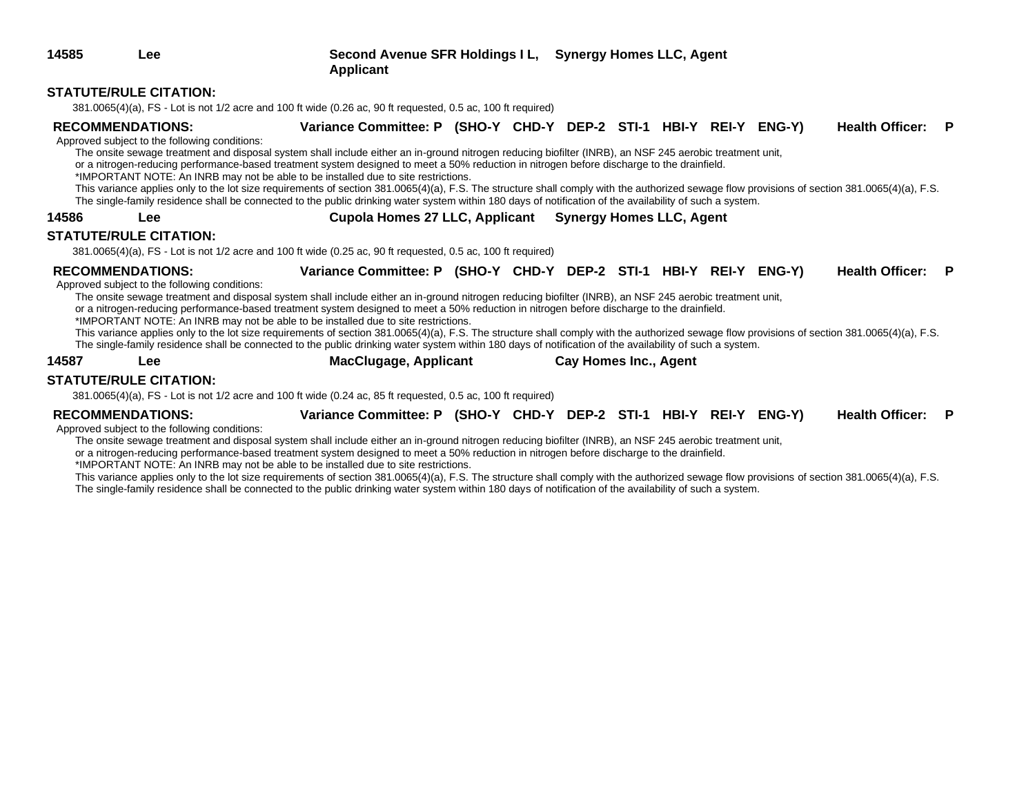**14585 Lee Second Avenue SFR Holdings I L, Synergy Homes LLC, Agent Applicant**

### **STATUTE/RULE CITATION:**

381.0065(4)(a), FS - Lot is not 1/2 acre and 100 ft wide (0.26 ac, 90 ft requested, 0.5 ac, 100 ft required)

**RECOMMENDATIONS: Variance Committee: P (SHO-Y CHD-Y DEP-2 STI-1 HBI-Y REI-Y ENG-Y) Health Officer: P**

Approved subject to the following conditions:

The onsite sewage treatment and disposal system shall include either an in-ground nitrogen reducing biofilter (INRB), an NSF 245 aerobic treatment unit,

or a nitrogen-reducing performance-based treatment system designed to meet a 50% reduction in nitrogen before discharge to the drainfield.

\*IMPORTANT NOTE: An INRB may not be able to be installed due to site restrictions.

This variance applies only to the lot size requirements of section 381.0065(4)(a), F.S. The structure shall comply with the authorized sewage flow provisions of section 381.0065(4)(a), F.S. The single-family residence shall be connected to the public drinking water system within 180 days of notification of the availability of such a system.

**14586 Lee Cupola Homes 27 LLC, Applicant Synergy Homes LLC, Agent**

### **STATUTE/RULE CITATION:**

381.0065(4)(a), FS - Lot is not 1/2 acre and 100 ft wide (0.25 ac, 90 ft requested, 0.5 ac, 100 ft required)

**RECOMMENDATIONS: Variance Committee: P (SHO-Y CHD-Y DEP-2 STI-1 HBI-Y REI-Y ENG-Y) Health Officer: P**

### Approved subject to the following conditions:

The onsite sewage treatment and disposal system shall include either an in-ground nitrogen reducing biofilter (INRB), an NSF 245 aerobic treatment unit,

or a nitrogen-reducing performance-based treatment system designed to meet a 50% reduction in nitrogen before discharge to the drainfield.

\*IMPORTANT NOTE: An INRB may not be able to be installed due to site restrictions.

This variance applies only to the lot size requirements of section 381.0065(4)(a), F.S. The structure shall comply with the authorized sewage flow provisions of section 381.0065(4)(a), F.S. The single-family residence shall be connected to the public drinking water system within 180 days of notification of the availability of such a system.

**14587 Lee MacClugage, Applicant Cay Homes Inc., Agent**

### **STATUTE/RULE CITATION:**

381.0065(4)(a), FS - Lot is not 1/2 acre and 100 ft wide (0.24 ac, 85 ft requested, 0.5 ac, 100 ft required)

### **RECOMMENDATIONS: Variance Committee: P (SHO-Y CHD-Y DEP-2 STI-1 HBI-Y REI-Y ENG-Y) Health Officer: P**

Approved subject to the following conditions:

The onsite sewage treatment and disposal system shall include either an in-ground nitrogen reducing biofilter (INRB), an NSF 245 aerobic treatment unit,

or a nitrogen-reducing performance-based treatment system designed to meet a 50% reduction in nitrogen before discharge to the drainfield.

\*IMPORTANT NOTE: An INRB may not be able to be installed due to site restrictions.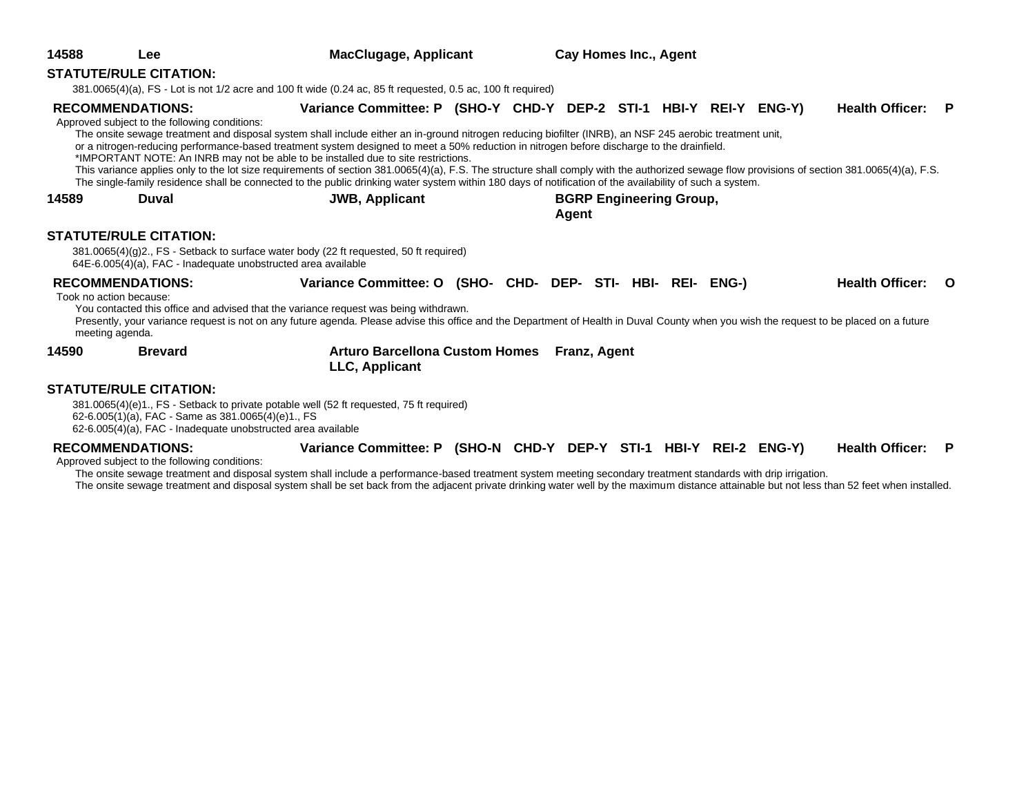| 14588                                                                 | Lee                                                                                            | <b>MacClugage, Applicant</b>                                                                                                                                                                                                                                                                                                                                                                                                                                                                                                                                                                                                                                       |  | <b>Cay Homes Inc., Agent</b>            |  |  |                        |                        |          |
|-----------------------------------------------------------------------|------------------------------------------------------------------------------------------------|--------------------------------------------------------------------------------------------------------------------------------------------------------------------------------------------------------------------------------------------------------------------------------------------------------------------------------------------------------------------------------------------------------------------------------------------------------------------------------------------------------------------------------------------------------------------------------------------------------------------------------------------------------------------|--|-----------------------------------------|--|--|------------------------|------------------------|----------|
|                                                                       | <b>STATUTE/RULE CITATION:</b>                                                                  |                                                                                                                                                                                                                                                                                                                                                                                                                                                                                                                                                                                                                                                                    |  |                                         |  |  |                        |                        |          |
|                                                                       |                                                                                                | 381.0065(4)(a), FS - Lot is not 1/2 acre and 100 ft wide (0.24 ac, 85 ft requested, 0.5 ac, 100 ft required)                                                                                                                                                                                                                                                                                                                                                                                                                                                                                                                                                       |  |                                         |  |  |                        |                        |          |
| <b>RECOMMENDATIONS:</b>                                               | Approved subject to the following conditions:                                                  | Variance Committee: P (SHO-Y CHD-Y DEP-2 STI-1 HBI-Y REI-Y ENG-Y)<br>The onsite sewage treatment and disposal system shall include either an in-ground nitrogen reducing biofilter (INRB), an NSF 245 aerobic treatment unit,<br>or a nitrogen-reducing performance-based treatment system designed to meet a 50% reduction in nitrogen before discharge to the drainfield.<br>*IMPORTANT NOTE: An INRB may not be able to be installed due to site restrictions.<br>This variance applies only to the lot size requirements of section 381.0065(4)(a), F.S. The structure shall comply with the authorized sewage flow provisions of section 381.0065(4)(a), F.S. |  |                                         |  |  | <b>Health Officer:</b> |                        | P        |
|                                                                       |                                                                                                | The single-family residence shall be connected to the public drinking water system within 180 days of notification of the availability of such a system.                                                                                                                                                                                                                                                                                                                                                                                                                                                                                                           |  |                                         |  |  |                        |                        |          |
| 14589                                                                 | Duval                                                                                          | <b>JWB, Applicant</b>                                                                                                                                                                                                                                                                                                                                                                                                                                                                                                                                                                                                                                              |  | <b>BGRP Engineering Group,</b><br>Agent |  |  |                        |                        |          |
|                                                                       | <b>STATUTE/RULE CITATION:</b><br>64E-6.005(4)(a), FAC - Inadequate unobstructed area available | 381.0065(4)(g)2., FS - Setback to surface water body (22 ft requested, 50 ft required)                                                                                                                                                                                                                                                                                                                                                                                                                                                                                                                                                                             |  |                                         |  |  |                        |                        |          |
| <b>RECOMMENDATIONS:</b><br>Took no action because:<br>meeting agenda. |                                                                                                | Variance Committee: O (SHO- CHD- DEP- STI- HBI- REI- ENG-)<br>You contacted this office and advised that the variance request was being withdrawn.<br>Presently, your variance request is not on any future agenda. Please advise this office and the Department of Health in Duval County when you wish the request to be placed on a future                                                                                                                                                                                                                                                                                                                      |  |                                         |  |  |                        | <b>Health Officer:</b> | <u>റ</u> |
| 14590                                                                 | <b>Brevard</b>                                                                                 | <b>Arturo Barcellona Custom Homes</b><br>LLC, Applicant                                                                                                                                                                                                                                                                                                                                                                                                                                                                                                                                                                                                            |  | Franz, Agent                            |  |  |                        |                        |          |
|                                                                       | <b>STATUTE/RULE CITATION:</b>                                                                  |                                                                                                                                                                                                                                                                                                                                                                                                                                                                                                                                                                                                                                                                    |  |                                         |  |  |                        |                        |          |

381.0065(4)(e)1., FS - Setback to private potable well (52 ft requested, 75 ft required) 62-6.005(1)(a), FAC - Same as 381.0065(4)(e)1., FS

 $62-6.005(4)(a)$ , FAC - Inadequate unobstructed area available

**RECOMMENDATIONS: Variance Committee: P (SHO-N CHD-Y DEP-Y STI-1 HBI-Y REI-2 ENG-Y) Health Officer: P**

Approved subject to the following conditions:

The onsite sewage treatment and disposal system shall include a performance-based treatment system meeting secondary treatment standards with drip irrigation. The onsite sewage treatment and disposal system shall be set back from the adjacent private drinking water well by the maximum distance attainable but not less than 52 feet when installed.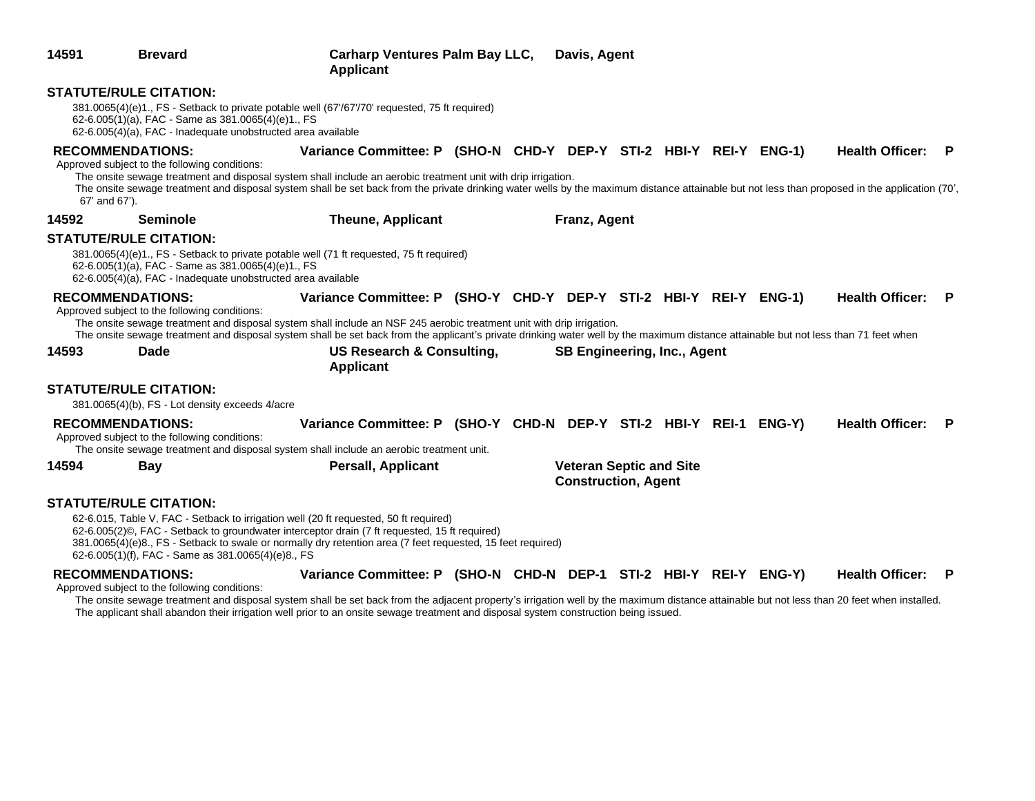| 14591 | <b>Brevard</b>                                                                                                                                      | <b>Carharp Ventures Palm Bay LLC,</b><br><b>Applicant</b>                                                                                                                                                                                                                                                                                                                            | Davis, Agent                                                 |  |  |                        |     |
|-------|-----------------------------------------------------------------------------------------------------------------------------------------------------|--------------------------------------------------------------------------------------------------------------------------------------------------------------------------------------------------------------------------------------------------------------------------------------------------------------------------------------------------------------------------------------|--------------------------------------------------------------|--|--|------------------------|-----|
|       | <b>STATUTE/RULE CITATION:</b><br>62-6.005(1)(a), FAC - Same as 381.0065(4)(e)1., FS<br>62-6.005(4)(a), FAC - Inadequate unobstructed area available | 381.0065(4)(e)1., FS - Setback to private potable well (67'/67'/70' requested, 75 ft required)                                                                                                                                                                                                                                                                                       |                                                              |  |  |                        |     |
|       | <b>RECOMMENDATIONS:</b><br>Approved subject to the following conditions:<br>67' and 67').                                                           | Variance Committee: P (SHO-N CHD-Y DEP-Y STI-2 HBI-Y REI-Y ENG-1)<br>The onsite sewage treatment and disposal system shall include an aerobic treatment unit with drip irrigation.<br>The onsite sewage treatment and disposal system shall be set back from the private drinking water wells by the maximum distance attainable but not less than proposed in the application (70', |                                                              |  |  | <b>Health Officer:</b> | - P |
| 14592 | <b>Seminole</b>                                                                                                                                     | <b>Theune, Applicant</b>                                                                                                                                                                                                                                                                                                                                                             | Franz, Agent                                                 |  |  |                        |     |
|       | <b>STATUTE/RULE CITATION:</b><br>62-6.005(1)(a), FAC - Same as 381.0065(4)(e)1., FS<br>62-6.005(4)(a), FAC - Inadequate unobstructed area available | 381.0065(4)(e)1., FS - Setback to private potable well (71 ft requested, 75 ft required)                                                                                                                                                                                                                                                                                             |                                                              |  |  |                        |     |
|       | <b>RECOMMENDATIONS:</b><br>Approved subject to the following conditions:                                                                            | Variance Committee: P (SHO-Y CHD-Y DEP-Y STI-2 HBI-Y REI-Y ENG-1)<br>The onsite sewage treatment and disposal system shall include an NSF 245 aerobic treatment unit with drip irrigation.<br>The onsite sewage treatment and disposal system shall be set back from the applicant's private drinking water well by the maximum distance attainable but not less than 71 feet when   |                                                              |  |  | <b>Health Officer:</b> | - P |
| 14593 | Dade                                                                                                                                                | US Research & Consulting,<br><b>Applicant</b>                                                                                                                                                                                                                                                                                                                                        | <b>SB Engineering, Inc., Agent</b>                           |  |  |                        |     |
|       | <b>STATUTE/RULE CITATION:</b><br>381.0065(4)(b), FS - Lot density exceeds 4/acre                                                                    |                                                                                                                                                                                                                                                                                                                                                                                      |                                                              |  |  |                        |     |
|       | <b>RECOMMENDATIONS:</b><br>Approved subject to the following conditions:                                                                            | Variance Committee: P (SHO-Y CHD-N DEP-Y STI-2 HBI-Y REI-1 ENG-Y)<br>The onsite sewage treatment and disposal system shall include an aerobic treatment unit.                                                                                                                                                                                                                        |                                                              |  |  | <b>Health Officer:</b> | -P  |
| 14594 | <b>Bay</b>                                                                                                                                          | <b>Persall, Applicant</b>                                                                                                                                                                                                                                                                                                                                                            | <b>Veteran Septic and Site</b><br><b>Construction, Agent</b> |  |  |                        |     |
|       | <b>STATUTE/RULE CITATION:</b><br>62-6.005(1)(f), FAC - Same as 381.0065(4)(e)8., FS                                                                 | 62-6.015, Table V, FAC - Setback to irrigation well (20 ft requested, 50 ft required)<br>62-6.005(2)©, FAC - Setback to groundwater interceptor drain (7 ft requested, 15 ft required)<br>381.0065(4)(e)8., FS - Setback to swale or normally dry retention area (7 feet requested, 15 feet required)                                                                                |                                                              |  |  |                        |     |
|       | <b>RECOMMENDATIONS:</b>                                                                                                                             | Variance Committee: P (SHO-N CHD-N DEP-1 STI-2 HBI-Y REI-Y ENG-Y)                                                                                                                                                                                                                                                                                                                    |                                                              |  |  | <b>Health Officer:</b> | P   |

Approved subject to the following conditions:

The onsite sewage treatment and disposal system shall be set back from the adjacent property's irrigation well by the maximum distance attainable but not less than 20 feet when installed. The applicant shall abandon their irrigation well prior to an onsite sewage treatment and disposal system construction being issued.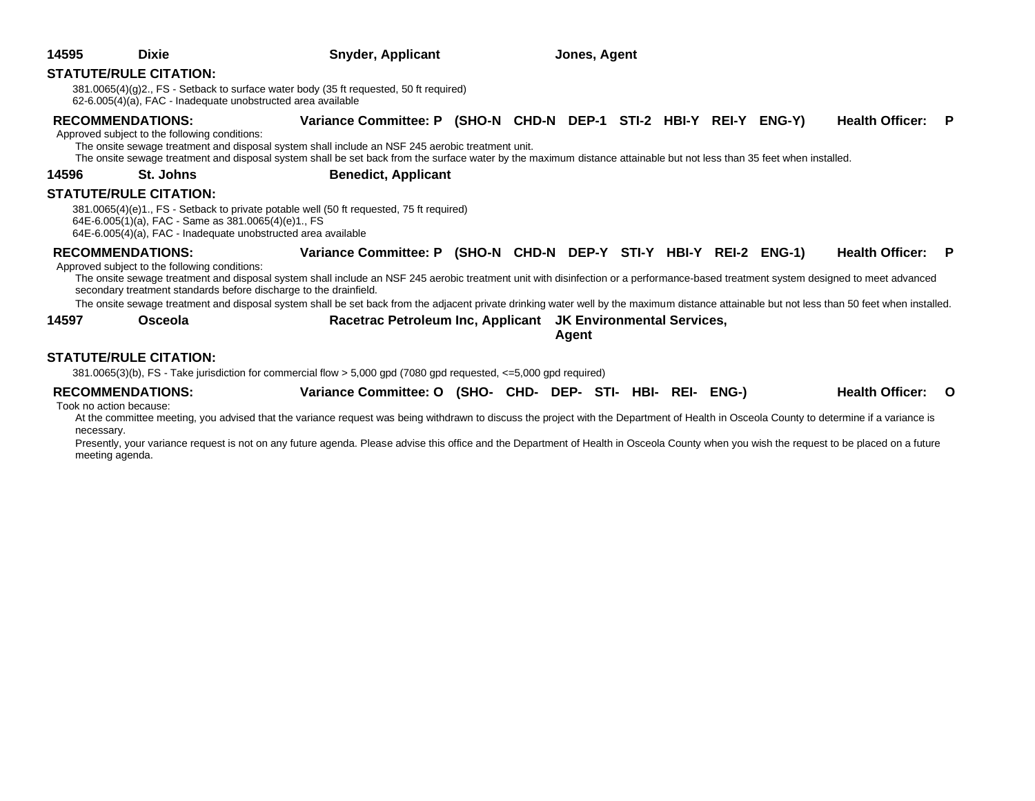| 14595 | <b>Dixie</b>                                                                                                                                          | <b>Snyder, Applicant</b>                                                                                                                                                                                                                                                                                                                                                                                                                                                                                                      | Jones, Agent |       |  |  |        |                   |  |
|-------|-------------------------------------------------------------------------------------------------------------------------------------------------------|-------------------------------------------------------------------------------------------------------------------------------------------------------------------------------------------------------------------------------------------------------------------------------------------------------------------------------------------------------------------------------------------------------------------------------------------------------------------------------------------------------------------------------|--------------|-------|--|--|--------|-------------------|--|
|       | <b>STATUTE/RULE CITATION:</b><br>62-6.005(4)(a), FAC - Inadequate unobstructed area available                                                         | 381.0065(4)(g)2., FS - Setback to surface water body (35 ft requested, 50 ft required)                                                                                                                                                                                                                                                                                                                                                                                                                                        |              |       |  |  |        |                   |  |
|       | <b>RECOMMENDATIONS:</b><br>Approved subject to the following conditions:                                                                              | Variance Committee: P (SHO-N CHD-N DEP-1 STI-2 HBI-Y REI-Y<br>The onsite sewage treatment and disposal system shall include an NSF 245 aerobic treatment unit.<br>The onsite sewage treatment and disposal system shall be set back from the surface water by the maximum distance attainable but not less than 35 feet when installed.                                                                                                                                                                                       |              |       |  |  | ENG-Y) | Health Officer: P |  |
| 14596 | St. Johns                                                                                                                                             | <b>Benedict, Applicant</b>                                                                                                                                                                                                                                                                                                                                                                                                                                                                                                    |              |       |  |  |        |                   |  |
|       | <b>STATUTE/RULE CITATION:</b><br>64E-6.005(1)(a), FAC - Same as 381.0065(4)(e)1., FS<br>64E-6.005(4)(a), FAC - Inadequate unobstructed area available | 381.0065(4)(e)1., FS - Setback to private potable well (50 ft requested, 75 ft required)                                                                                                                                                                                                                                                                                                                                                                                                                                      |              |       |  |  |        |                   |  |
|       | <b>RECOMMENDATIONS:</b><br>Approved subject to the following conditions:                                                                              | Variance Committee: P (SHO-N CHD-N DEP-Y STI-Y HBI-Y REI-2 ENG-1)<br>The onsite sewage treatment and disposal system shall include an NSF 245 aerobic treatment unit with disinfection or a performance-based treatment system designed to meet advanced<br>secondary treatment standards before discharge to the drainfield.<br>The onsite sewage treatment and disposal system shall be set back from the adjacent private drinking water well by the maximum distance attainable but not less than 50 feet when installed. |              |       |  |  |        | Health Officer: P |  |
| 14597 | Osceola                                                                                                                                               | Racetrac Petroleum Inc, Applicant JK Environmental Services,                                                                                                                                                                                                                                                                                                                                                                                                                                                                  |              | Agent |  |  |        |                   |  |

### **STATUTE/RULE CITATION:**

381.0065(3)(b), FS - Take jurisdiction for commercial flow > 5,000 gpd (7080 gpd requested, <=5,000 gpd required)

| <b>RECOMMENDATIONS:</b> | Variance Committee: O (SHO- CHD- DEP- STI- HBI- REI- ENG-) |  |  |  | Health Officer: O |  |
|-------------------------|------------------------------------------------------------|--|--|--|-------------------|--|
| Took no ostion hooping  |                                                            |  |  |  |                   |  |

Took no action because:

At the committee meeting, you advised that the variance request was being withdrawn to discuss the project with the Department of Health in Osceola County to determine if a variance is necessary.

Presently, your variance request is not on any future agenda. Please advise this office and the Department of Health in Osceola County when you wish the request to be placed on a future meeting agenda.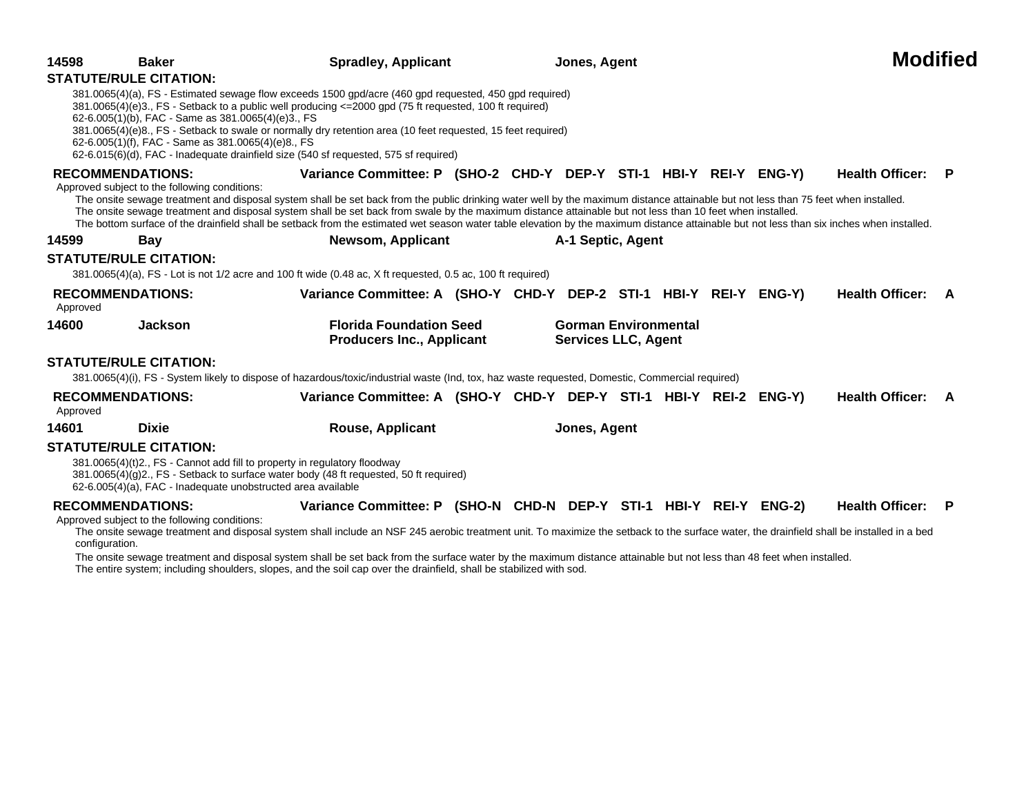| 14598          | <b>Baker</b><br><b>STATUTE/RULE CITATION:</b>                                                            | <b>Spradley, Applicant</b>                                                                                                                                                                                                                                                                                                                                                                                                                                                                                                                                                                                        |                                                                    |              | Jones, Agent      |                                                           |  |  |  |                          | <b>Modified</b> |
|----------------|----------------------------------------------------------------------------------------------------------|-------------------------------------------------------------------------------------------------------------------------------------------------------------------------------------------------------------------------------------------------------------------------------------------------------------------------------------------------------------------------------------------------------------------------------------------------------------------------------------------------------------------------------------------------------------------------------------------------------------------|--------------------------------------------------------------------|--------------|-------------------|-----------------------------------------------------------|--|--|--|--------------------------|-----------------|
|                | 62-6.005(1)(b), FAC - Same as 381.0065(4)(e)3., FS<br>62-6.005(1)(f), FAC - Same as 381.0065(4)(e)8., FS | 381.0065(4)(a), FS - Estimated sewage flow exceeds 1500 gpd/acre (460 gpd requested, 450 gpd required)<br>381.0065(4)(e)3., FS - Setback to a public well producing <= 2000 gpd (75 ft requested, 100 ft required)<br>381.0065(4)(e)8., FS - Setback to swale or normally dry retention area (10 feet requested, 15 feet required)<br>62-6.015(6)(d), FAC - Inadequate drainfield size (540 sf requested, 575 sf required)                                                                                                                                                                                        |                                                                    |              |                   |                                                           |  |  |  |                          |                 |
|                | <b>RECOMMENDATIONS:</b><br>Approved subject to the following conditions:                                 | Variance Committee: P (SHO-2 CHD-Y DEP-Y STI-1 HBI-Y REI-Y ENG-Y)<br>The onsite sewage treatment and disposal system shall be set back from the public drinking water well by the maximum distance attainable but not less than 75 feet when installed.<br>The onsite sewage treatment and disposal system shall be set back from swale by the maximum distance attainable but not less than 10 feet when installed.<br>The bottom surface of the drainfield shall be setback from the estimated wet season water table elevation by the maximum distance attainable but not less than six inches when installed. |                                                                    |              |                   |                                                           |  |  |  | <b>Health Officer:</b>   | - P             |
| 14599          | <b>Bay</b>                                                                                               | Newsom, Applicant                                                                                                                                                                                                                                                                                                                                                                                                                                                                                                                                                                                                 |                                                                    |              | A-1 Septic, Agent |                                                           |  |  |  |                          |                 |
|                | <b>STATUTE/RULE CITATION:</b>                                                                            | 381.0065(4)(a), FS - Lot is not 1/2 acre and 100 ft wide (0.48 ac, X ft requested, 0.5 ac, 100 ft required)                                                                                                                                                                                                                                                                                                                                                                                                                                                                                                       |                                                                    |              |                   |                                                           |  |  |  |                          |                 |
| Approved       | <b>RECOMMENDATIONS:</b>                                                                                  | Variance Committee: A (SHO-Y CHD-Y DEP-2 STI-1 HBI-Y REI-Y ENG-Y)                                                                                                                                                                                                                                                                                                                                                                                                                                                                                                                                                 |                                                                    |              |                   |                                                           |  |  |  | Health Officer: A        |                 |
| 14600          | <b>Jackson</b>                                                                                           |                                                                                                                                                                                                                                                                                                                                                                                                                                                                                                                                                                                                                   | <b>Florida Foundation Seed</b><br><b>Producers Inc., Applicant</b> |              |                   | <b>Gorman Environmental</b><br><b>Services LLC, Agent</b> |  |  |  |                          |                 |
|                | <b>STATUTE/RULE CITATION:</b>                                                                            | 381.0065(4)(i), FS - System likely to dispose of hazardous/toxic/industrial waste (Ind, tox, haz waste requested, Domestic, Commercial required)                                                                                                                                                                                                                                                                                                                                                                                                                                                                  |                                                                    |              |                   |                                                           |  |  |  |                          |                 |
| Approved       | <b>RECOMMENDATIONS:</b>                                                                                  | Variance Committee: A (SHO-Y CHD-Y DEP-Y STI-1 HBI-Y REI-2 ENG-Y)                                                                                                                                                                                                                                                                                                                                                                                                                                                                                                                                                 |                                                                    |              |                   |                                                           |  |  |  | <b>Health Officer: A</b> |                 |
| 14601          | <b>Dixie</b>                                                                                             | <b>Rouse, Applicant</b>                                                                                                                                                                                                                                                                                                                                                                                                                                                                                                                                                                                           |                                                                    | Jones, Agent |                   |                                                           |  |  |  |                          |                 |
|                | <b>STATUTE/RULE CITATION:</b>                                                                            | 381.0065(4)(t)2., FS - Cannot add fill to property in regulatory floodway<br>381.0065(4)(g)2., FS - Setback to surface water body (48 ft requested, 50 ft required)<br>62-6.005(4)(a), FAC - Inadequate unobstructed area available                                                                                                                                                                                                                                                                                                                                                                               |                                                                    |              |                   |                                                           |  |  |  |                          |                 |
| configuration. | <b>RECOMMENDATIONS:</b><br>Approved subject to the following conditions:                                 | Variance Committee: P (SHO-N CHD-N DEP-Y STI-1 HBI-Y REI-Y ENG-2)<br>The onsite sewage treatment and disposal system shall include an NSF 245 aerobic treatment unit. To maximize the setback to the surface water, the drainfield shall be installed in a bed<br>The onsite sewage treatment and disposal system shall be set back from the surface water by the maximum distance attainable but not less than 48 feet when installed.                                                                                                                                                                           |                                                                    |              |                   |                                                           |  |  |  | <b>Health Officer:</b>   | - P             |

The entire system; including shoulders, slopes, and the soil cap over the drainfield, shall be stabilized with sod.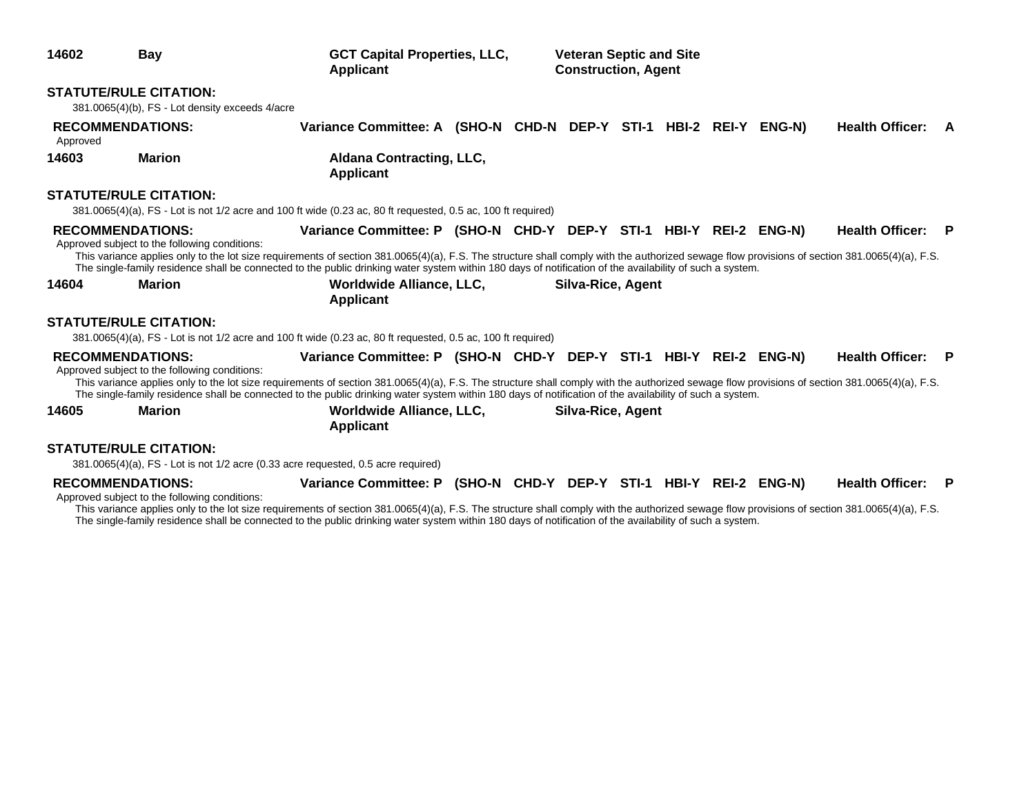| 14602                               | Bay                                                                                                                                                                                                                                                                                                                                                                                                                         | <b>GCT Capital Properties, LLC,</b><br>Applicant                                                                  |  |  | <b>Veteran Septic and Site</b><br><b>Construction, Agent</b> |  |  |  |  |                        |     |
|-------------------------------------|-----------------------------------------------------------------------------------------------------------------------------------------------------------------------------------------------------------------------------------------------------------------------------------------------------------------------------------------------------------------------------------------------------------------------------|-------------------------------------------------------------------------------------------------------------------|--|--|--------------------------------------------------------------|--|--|--|--|------------------------|-----|
| <b>STATUTE/RULE CITATION:</b>       | 381.0065(4)(b), FS - Lot density exceeds 4/acre                                                                                                                                                                                                                                                                                                                                                                             |                                                                                                                   |  |  |                                                              |  |  |  |  |                        |     |
| <b>RECOMMENDATIONS:</b><br>Approved |                                                                                                                                                                                                                                                                                                                                                                                                                             | Variance Committee: A (SHO-N CHD-N DEP-Y STI-1 HBI-2 REI-Y ENG-N)                                                 |  |  |                                                              |  |  |  |  | <b>Health Officer:</b> | A   |
| 14603                               | <b>Marion</b>                                                                                                                                                                                                                                                                                                                                                                                                               | <b>Aldana Contracting, LLC,</b><br><b>Applicant</b>                                                               |  |  |                                                              |  |  |  |  |                        |     |
| <b>STATUTE/RULE CITATION:</b>       | 381.0065(4)(a), FS - Lot is not 1/2 acre and 100 ft wide (0.23 ac, 80 ft requested, 0.5 ac, 100 ft required)                                                                                                                                                                                                                                                                                                                |                                                                                                                   |  |  |                                                              |  |  |  |  |                        |     |
| <b>RECOMMENDATIONS:</b>             | Approved subject to the following conditions:<br>This variance applies only to the lot size requirements of section 381.0065(4)(a), F.S. The structure shall comply with the authorized sewage flow provisions of section 381.0065(4)(a), F.S.<br>The single-family residence shall be connected to the public drinking water system within 180 days of notification of the availability of such a system.                  | Variance Committee: P (SHO-N CHD-Y DEP-Y STI-1 HBI-Y REI-2 ENG-N)                                                 |  |  |                                                              |  |  |  |  | <b>Health Officer:</b> | - P |
| 14604                               | <b>Marion</b>                                                                                                                                                                                                                                                                                                                                                                                                               | Worldwide Alliance, LLC,<br>Silva-Rice, Agent<br><b>Applicant</b>                                                 |  |  |                                                              |  |  |  |  |                        |     |
| <b>STATUTE/RULE CITATION:</b>       | 381.0065(4)(a), FS - Lot is not 1/2 acre and 100 ft wide (0.23 ac, 80 ft requested, 0.5 ac, 100 ft required)                                                                                                                                                                                                                                                                                                                |                                                                                                                   |  |  |                                                              |  |  |  |  |                        |     |
| <b>RECOMMENDATIONS:</b><br>14605    | Approved subject to the following conditions:<br>This variance applies only to the lot size requirements of section 381.0065(4)(a), F.S. The structure shall comply with the authorized sewage flow provisions of section 381.0065(4)(a), F.S.<br>The single-family residence shall be connected to the public drinking water system within 180 days of notification of the availability of such a system.<br><b>Marion</b> | Variance Committee: P (SHO-N CHD-Y DEP-Y STI-1 HBI-Y REI-2 ENG-N)<br>Worldwide Alliance, LLC,<br><b>Applicant</b> |  |  | <b>Silva-Rice, Agent</b>                                     |  |  |  |  | <b>Health Officer:</b> | - P |
| <b>STATUTE/RULE CITATION:</b>       | 381.0065(4)(a), FS - Lot is not 1/2 acre (0.33 acre requested, 0.5 acre required)                                                                                                                                                                                                                                                                                                                                           |                                                                                                                   |  |  |                                                              |  |  |  |  |                        |     |
| <b>RECOMMENDATIONS:</b>             | Approved subject to the following conditions:<br>This variance applies only to the lot size requirements of section 381.0065(4)(a), F.S. The structure shall comply with the authorized sewage flow provisions of section 381.0065(4)(a), F.S.<br>The single-family residence shall be connected to the public drinking water system within 180 days of notification of the availability of such a system.                  | Variance Committee: P (SHO-N CHD-Y DEP-Y STI-1 HBI-Y REI-2 ENG-N)                                                 |  |  |                                                              |  |  |  |  | Health Officer: P      |     |